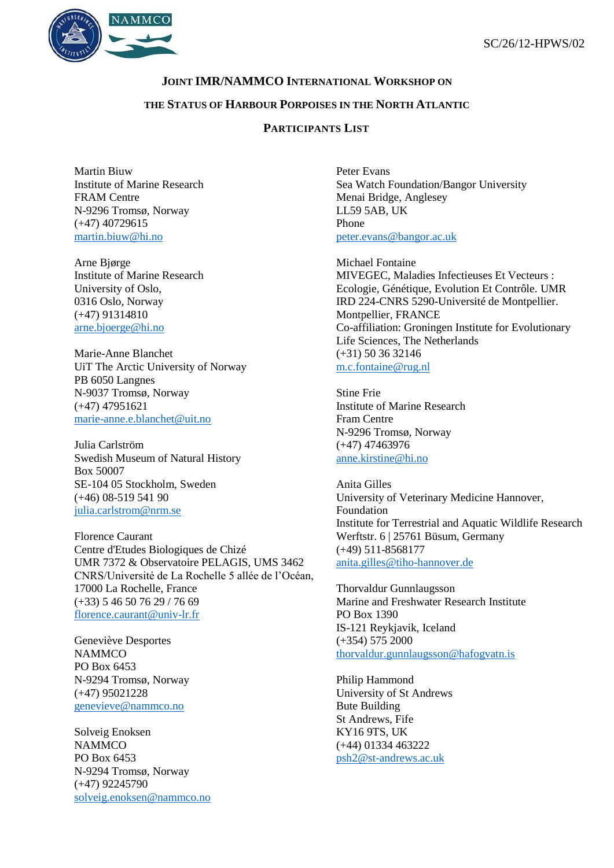

## **JOINT IMR/NAMMCO INTERNATIONAL WORKSHOP ON**

## **THE STATUS OF HARBOUR PORPOISES IN THE NORTH ATLANTIC**

## **PARTICIPANTS LIST**

Martin Biuw Institute of Marine Research FRAM Centre N-9296 Tromsø, Norway (+47) 40729615 [martin.biuw@hi.no](mailto:martin.biuw@hi.no)

Arne Bjørge Institute of Marine Research University of Oslo, 0316 Oslo, Norway (+47) 91314810 [arne.bjoerge@hi.no](mailto:arne.bjoerge@hi.no)

Marie-Anne Blanchet UiT The Arctic University of Norway PB 6050 Langnes N-9037 Tromsø, Norway (+47) 47951621 [marie-anne.e.blanchet@uit.no](mailto:marie-anne.e.blanchet@uit.no)

Julia Carlström Swedish Museum of Natural History Box 50007 SE-104 05 Stockholm, Sweden (+46) 08-519 541 90 [julia.carlstrom@nrm.se](mailto:julia.carlstrom@nrm.se)

Florence Caurant Centre d'Etudes Biologiques de Chizé UMR 7372 & Observatoire PELAGIS, UMS 3462 CNRS/Université de La Rochelle 5 allée de l'Océan, 17000 La Rochelle, France (+33) 5 46 50 76 29 / 76 69 [florence.caurant@univ-lr.fr](mailto:florence.caurant@univ-lr.fr)

Geneviève Desportes **NAMMCO** PO Box 6453 N-9294 Tromsø, Norway (+47) 95021228 [genevieve@nammco.no](mailto:genevieve@nammco.no)

Solveig Enoksen **NAMMCO** PO Box 6453 N-9294 Tromsø, Norway (+47) 92245790 [solveig.enoksen@nammco.no](mailto:solveig.enoksen@nammco.no) Peter Evans Sea Watch Foundation/Bangor University Menai Bridge, Anglesey LL59 5AB, UK Phone [peter.evans@bangor.ac.uk](mailto:peter.evans@bangor.ac.uk)

Michael Fontaine MIVEGEC, Maladies Infectieuses Et Vecteurs : Ecologie, Génétique, Evolution Et Contrôle. UMR IRD 224-CNRS 5290-Université de Montpellier. Montpellier, FRANCE Co-affiliation: Groningen Institute for Evolutionary Life Sciences, The Netherlands (+31) 50 36 32146 [m.c.fontaine@rug.nl](mailto:m.c.fontaine@rug.nl)

Stine Frie Institute of Marine Research Fram Centre N-9296 Tromsø, Norway (+47) 47463976 [anne.kirstine@hi.no](mailto:anne.kirstine@hi.no)

Anita Gilles University of Veterinary Medicine Hannover, Foundation Institute for Terrestrial and Aquatic Wildlife Research Werftstr. 6 | 25761 Büsum, Germany (+49) 511-8568177 [anita.gilles@tiho-hannover.de](mailto:anita.gilles@tiho-hannover.de)

Thorvaldur Gunnlaugsson Marine and Freshwater Research Institute PO Box 1390 IS-121 Reykjavik, Iceland (+354) 575 2000 [thorvaldur.gunnlaugsson@hafogvatn.is](mailto:thorvaldur.gunnlaugsson@hafogvatn.is)

Philip Hammond University of St Andrews Bute Building St Andrews, Fife KY16 9TS, UK (+44) 01334 463222 [psh2@st-andrews.ac.uk](mailto:psh2@st-andrews.ac.uk)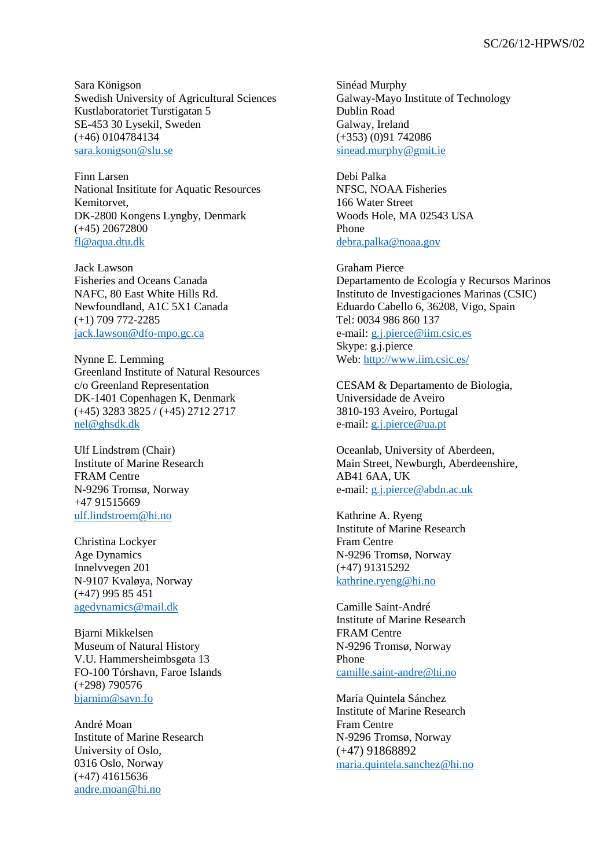Sara Königson Swedish University of Agricultural Sciences Kustlaboratoriet Turstigatan 5 SE-453 30 Lysekil, Sweden (+46) 0104784134 [sara.konigson@slu.se](mailto:sara.konigson@slu.se)

Finn Larsen National Insititute for Aquatic Resources Kemitorvet, DK-2800 Kongens Lyngby, Denmark (+45) 20672800 [fl@aqua.dtu.dk](mailto:fl@aqua.dtu.dk)

Jack Lawson Fisheries and Oceans Canada NAFC, 80 East White Hills Rd. Newfoundland, A1C 5X1 Canada (+1) 709 772-2285 [jack.lawson@dfo-mpo.gc.ca](mailto:jack.lawson@dfo-mpo.gc.ca)

Nynne E. Lemming Greenland Institute of Natural Resources c/o Greenland Representation DK-1401 Copenhagen K, Denmark (+45) 3283 3825 / (+45) 2712 2717 [nel@ghsdk.dk](mailto:nel@ghsdk.dk)

Ulf Lindstrøm (Chair) Institute of Marine Research FRAM Centre N-9296 Tromsø, Norway +47 91515669 [ulf.lindstroem@hi.no](mailto:ulf.lindstroem@hi.no)

Christina Lockyer Age Dynamics Innelvvegen 201 N-9107 Kvaløya, Norway (+47) 995 85 451 [agedynamics@mail.dk](mailto:agedynamics@mail.dk)

Bjarni Mikkelsen Museum of Natural History V.U. Hammersheimbsgøta 13 FO-100 Tórshavn, Faroe Islands (+298) 790576 [bjarnim@savn.fo](mailto:bjarnim@savn.fo)

André Moan Institute of Marine Research University of Oslo, 0316 Oslo, Norway (+47) 41615636 [andre.moan@hi.no](mailto:andre.moan@hi.no)

Sinéad Murphy Galway-Mayo Institute of Technology Dublin Road Galway, Ireland (+353) (0)91 742086 [sinead.murphy@gmit.ie](mailto:sinead.murphy@gmit.ie)

Debi Palka NFSC, NOAA Fisheries 166 Water Street Woods Hole, MA 02543 USA Phone [debra.palka@noaa.gov](mailto:debra.palka@noaa.gov)

Graham Pierce Departamento de Ecología y Recursos Marinos Instituto de Investigaciones Marinas (CSIC) Eduardo Cabello 6, 36208, Vigo, Spain Tel: 0034 986 860 137 e-mail: [g.j.pierce@iim.csic.es](mailto:g.j.pierce@iim.csic.es) Skype: g.j.pierce Web[: http://www.iim.csic.es/](http://www.iim.csic.es/)

CESAM & Departamento de Biologia, Universidade de Aveiro 3810-193 Aveiro, Portugal e-mail: [g.j.pierce@ua.pt](mailto:g.j.pierce@ua.pt)

Oceanlab, University of Aberdeen, Main Street, Newburgh, Aberdeenshire, AB41 6AA, UK e-mail: [g.j.pierce@abdn.ac.uk](mailto:g.j.pierce@abdn.ac.uk)

Kathrine A. Ryeng Institute of Marine Research Fram Centre N-9296 Tromsø, Norway (+47) 91315292 [kathrine.ryeng@hi.no](mailto:kathrine.ryeng@hi.no)

Camille Saint-André Institute of Marine Research FRAM Centre N-9296 Tromsø, Norway Phone [camille.saint-andre@hi.no](mailto:camille.saint-andre@hi.no)

María Quintela Sánchez Institute of Marine Research Fram Centre N-9296 Tromsø, Norway (+47) 91868892 [maria.quintela.sanchez@hi.no](mailto:maria.quintela.sanchez@hi.no)